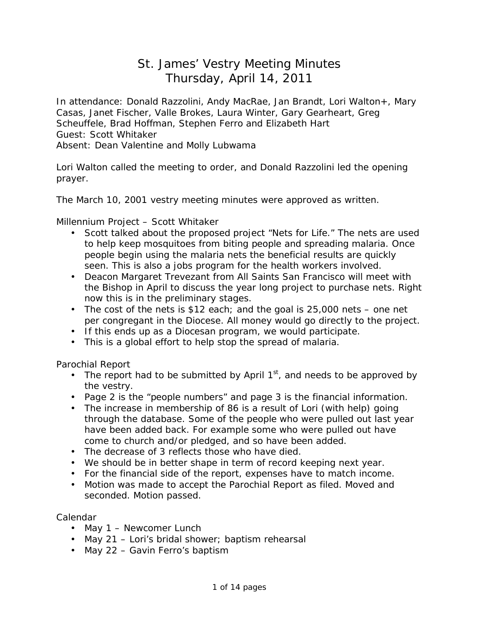# St. James' Vestry Meeting Minutes Thursday, April 14, 2011

In attendance: Donald Razzolini, Andy MacRae, Jan Brandt, Lori Walton+, Mary Casas, Janet Fischer, Valle Brokes, Laura Winter, Gary Gearheart, Greg Scheuffele, Brad Hoffman, Stephen Ferro and Elizabeth Hart Guest: Scott Whitaker Absent: Dean Valentine and Molly Lubwama

Lori Walton called the meeting to order, and Donald Razzolini led the opening prayer.

The March 10, 2001 vestry meeting minutes were approved as written.

Millennium Project – Scott Whitaker

- Scott talked about the proposed project "Nets for Life." The nets are used to help keep mosquitoes from biting people and spreading malaria. Once people begin using the malaria nets the beneficial results are quickly seen. This is also a jobs program for the health workers involved.
- Deacon Margaret Trevezant from All Saints San Francisco will meet with the Bishop in April to discuss the year long project to purchase nets. Right now this is in the preliminary stages.
- The cost of the nets is \$12 each; and the goal is 25,000 nets one net per congregant in the Diocese. All money would go directly to the project.
- If this ends up as a Diocesan program, we would participate.
- This is a global effort to help stop the spread of malaria.

Parochial Report

- The report had to be submitted by April  $1<sup>st</sup>$ , and needs to be approved by the vestry.
- Page 2 is the "people numbers" and page 3 is the financial information.
- The increase in membership of 86 is a result of Lori (with help) going through the database. Some of the people who were pulled out last year have been added back. For example some who were pulled out have come to church and/or pledged, and so have been added.
- The decrease of 3 reflects those who have died.
- We should be in better shape in term of record keeping next year.
- For the financial side of the report, expenses have to match income.
- Motion was made to accept the Parochial Report as filed. Moved and seconded. Motion passed.

Calendar

- May 1 Newcomer Lunch
- May 21 Lori's bridal shower; baptism rehearsal
- May 22 Gavin Ferro's baptism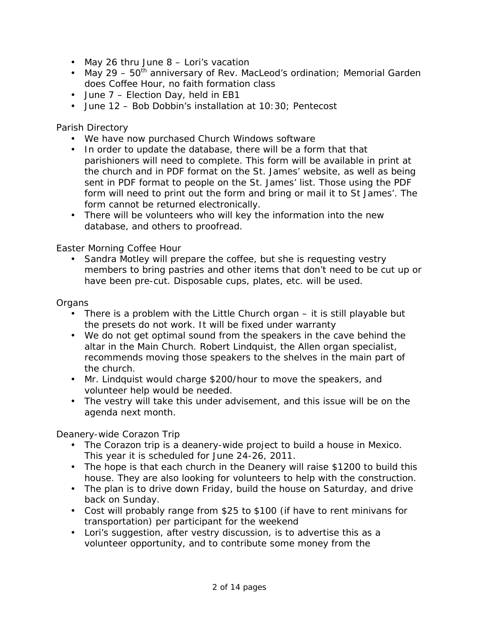- May 26 thru June 8 Lori's vacation
- May 29  $50<sup>th</sup>$  anniversary of Rev. MacLeod's ordination; Memorial Garden does Coffee Hour, no faith formation class
- June 7 Election Day, held in EB1
- June 12 Bob Dobbin's installation at 10:30; Pentecost

## Parish Directory

- We have now purchased Church Windows software
- In order to update the database, there will be a form that that parishioners will need to complete. This form will be available in print at the church and in PDF format on the St. James' website, as well as being sent in PDF format to people on the St. James' list. Those using the PDF form will need to print out the form and bring or mail it to St James'. The form cannot be returned electronically.
- There will be volunteers who will key the information into the new database, and others to proofread.

# Easter Morning Coffee Hour

• Sandra Motley will prepare the coffee, but she is requesting vestry members to bring pastries and other items that don't need to be cut up or have been pre-cut. Disposable cups, plates, etc. will be used.

### **Organs**

- There is a problem with the Little Church organ it is still playable but the presets do not work. It will be fixed under warranty
- We do not get optimal sound from the speakers in the cave behind the altar in the Main Church. Robert Lindquist, the Allen organ specialist, recommends moving those speakers to the shelves in the main part of the church.
- Mr. Lindquist would charge \$200/hour to move the speakers, and volunteer help would be needed.
- The vestry will take this under advisement, and this issue will be on the agenda next month.

Deanery-wide Corazon Trip

- The Corazon trip is a deanery-wide project to build a house in Mexico. This year it is scheduled for June 24-26, 2011.
- The hope is that each church in the Deanery will raise \$1200 to build this house. They are also looking for volunteers to help with the construction.
- The plan is to drive down Friday, build the house on Saturday, and drive back on Sunday.
- Cost will probably range from \$25 to \$100 (if have to rent minivans for transportation) per participant for the weekend
- Lori's suggestion, after vestry discussion, is to advertise this as a volunteer opportunity, and to contribute some money from the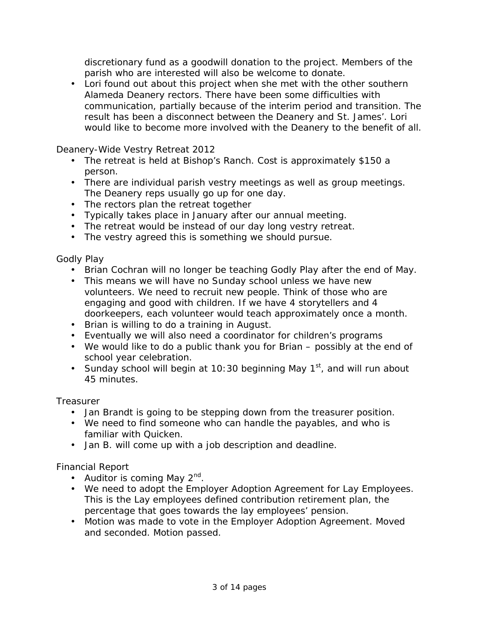discretionary fund as a goodwill donation to the project. Members of the parish who are interested will also be welcome to donate.

• Lori found out about this project when she met with the other southern Alameda Deanery rectors. There have been some difficulties with communication, partially because of the interim period and transition. The result has been a disconnect between the Deanery and St. James'. Lori would like to become more involved with the Deanery to the benefit of all.

Deanery-Wide Vestry Retreat 2012

- The retreat is held at Bishop's Ranch. Cost is approximately \$150 a person.
- There are individual parish vestry meetings as well as group meetings. The Deanery reps usually go up for one day.
- The rectors plan the retreat together
- Typically takes place in January after our annual meeting.
- The retreat would be instead of our day long vestry retreat.
- The vestry agreed this is something we should pursue.

Godly Play

- Brian Cochran will no longer be teaching Godly Play after the end of May.
- This means we will have no Sunday school unless we have new volunteers. We need to recruit new people. Think of those who are engaging and good with children. If we have 4 storytellers and 4 doorkeepers, each volunteer would teach approximately once a month.
- Brian is willing to do a training in August.
- Eventually we will also need a coordinator for children's programs
- We would like to do a public thank you for Brian possibly at the end of school year celebration.
- Sunday school will begin at 10:30 beginning May  $1<sup>st</sup>$ , and will run about 45 minutes.

**Treasurer** 

- Jan Brandt is going to be stepping down from the treasurer position.
- We need to find someone who can handle the payables, and who is familiar with Quicken.
- Jan B. will come up with a job description and deadline.

Financial Report

- Auditor is coming May  $2^{nd}$ .
- We need to adopt the Employer Adoption Agreement for Lay Employees. This is the Lay employees defined contribution retirement plan, the percentage that goes towards the lay employees' pension.
- Motion was made to vote in the Employer Adoption Agreement. Moved and seconded. Motion passed.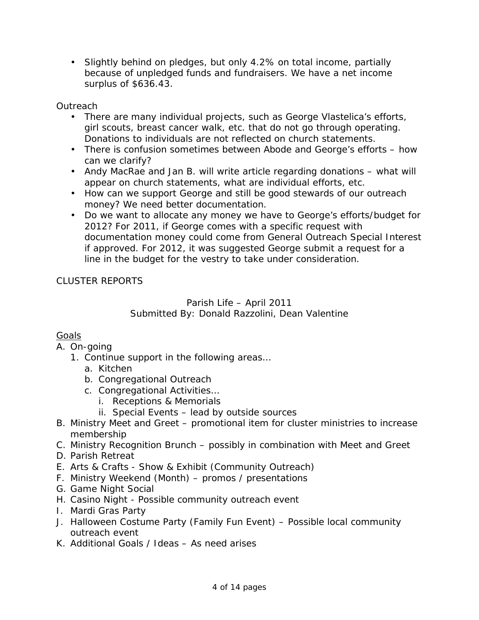• Slightly behind on pledges, but only 4.2% on total income, partially because of unpledged funds and fundraisers. We have a net income surplus of \$636.43.

**Outreach** 

- There are many individual projects, such as George Vlastelica's efforts, girl scouts, breast cancer walk, etc. that do not go through operating. Donations to individuals are not reflected on church statements.
- There is confusion sometimes between Abode and George's efforts how can we clarify?
- Andy MacRae and Jan B. will write article regarding donations what will appear on church statements, what are individual efforts, etc.
- How can we support George and still be good stewards of our outreach money? We need better documentation.
- Do we want to allocate any money we have to George's efforts/budget for 2012? For 2011, if George comes with a specific request with documentation money could come from General Outreach Special Interest if approved. For 2012, it was suggested George submit a request for a line in the budget for the vestry to take under consideration.

# CLUSTER REPORTS

# Parish Life – April 2011 Submitted By: Donald Razzolini, Dean Valentine

# **Goals**

- A. On-going
	- 1. Continue support in the following areas…
		- a. Kitchen
		- b. Congregational Outreach
		- c. Congregational Activities…
			- i. Receptions & Memorials
			- ii. Special Events lead by outside sources
- B. Ministry Meet and Greet promotional item for cluster ministries to increase membership
- C. Ministry Recognition Brunch possibly in combination with Meet and Greet
- D. Parish Retreat
- E. Arts & Crafts Show & Exhibit (Community Outreach)
- F. Ministry Weekend (Month) promos / presentations
- G. Game Night Social
- H. Casino Night Possible community outreach event
- I. Mardi Gras Party
- J. Halloween Costume Party (Family Fun Event) Possible local community outreach event
- K. Additional Goals / Ideas As need arises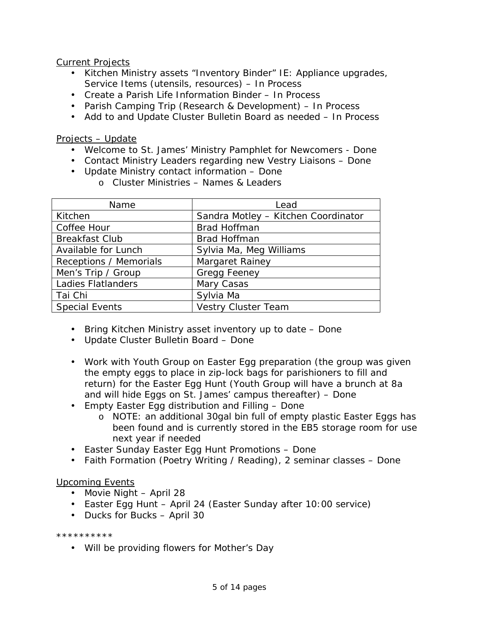Current Projects

- Kitchen Ministry assets "Inventory Binder" IE: Appliance upgrades, Service Items (utensils, resources) – In Process
- Create a Parish Life Information Binder In Process
- Parish Camping Trip (Research & Development) In Process
- Add to and Update Cluster Bulletin Board as needed In Process

Projects – Update

- Welcome to St. James' Ministry Pamphlet for Newcomers Done
- Contact Ministry Leaders regarding new Vestry Liaisons Done
- Update Ministry contact information Done
	- o Cluster Ministries Names & Leaders

| Name                          | Lead                                |
|-------------------------------|-------------------------------------|
| Kitchen                       | Sandra Motley - Kitchen Coordinator |
| <b>Coffee Hour</b>            | <b>Brad Hoffman</b>                 |
| <b>Breakfast Club</b>         | <b>Brad Hoffman</b>                 |
| <b>Available for Lunch</b>    | Sylvia Ma, Meg Williams             |
| <b>Receptions / Memorials</b> | <b>Margaret Rainey</b>              |
| Men's Trip / Group            | <b>Gregg Feeney</b>                 |
| <b>Ladies Flatlanders</b>     | <b>Mary Casas</b>                   |
| Tai Chi                       | Sylvia Ma                           |
| <b>Special Events</b>         | <b>Vestry Cluster Team</b>          |

- Bring Kitchen Ministry asset inventory up to date Done
- Update Cluster Bulletin Board Done
- Work with Youth Group on Easter Egg preparation (the group was given the empty eggs to place in zip-lock bags for parishioners to fill and return) for the Easter Egg Hunt (Youth Group will have a brunch at 8a and will hide Eggs on St. James' campus thereafter) – Done
- Empty Easter Egg distribution and Filling Done
	- o NOTE: an additional 30gal bin full of empty plastic Easter Eggs has been found and is currently stored in the EB5 storage room for use next year if needed
- Easter Sunday Easter Egg Hunt Promotions Done
- Faith Formation (Poetry Writing / Reading), 2 seminar classes Done

Upcoming Events

- Movie Night April 28
- Easter Egg Hunt April 24 (Easter Sunday after 10:00 service)
- Ducks for Bucks April 30

\*\*\*\*\*\*\*\*\*\*

• Will be providing flowers for Mother's Day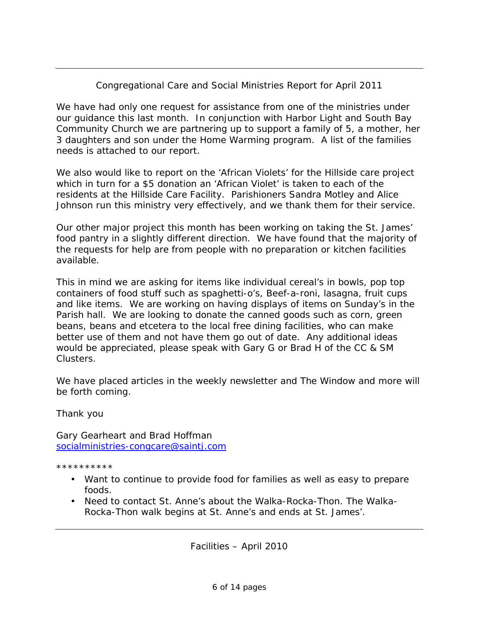# Congregational Care and Social Ministries Report for April 2011

We have had only one request for assistance from one of the ministries under our guidance this last month. In conjunction with Harbor Light and South Bay Community Church we are partnering up to support a family of 5, a mother, her 3 daughters and son under the Home Warming program. A list of the families needs is attached to our report.

We also would like to report on the 'African Violets' for the Hillside care project which in turn for a \$5 donation an 'African Violet' is taken to each of the residents at the Hillside Care Facility. Parishioners Sandra Motley and Alice Johnson run this ministry very effectively, and we thank them for their service.

Our other major project this month has been working on taking the St. James' food pantry in a slightly different direction. We have found that the majority of the requests for help are from people with no preparation or kitchen facilities available.

This in mind we are asking for items like individual cereal's in bowls, pop top containers of food stuff such as spaghetti-o's, Beef-a-roni, lasagna, fruit cups and like items. We are working on having displays of items on Sunday's in the Parish hall. We are looking to donate the canned goods such as corn, green beans, beans and etcetera to the local free dining facilities, who can make better use of them and not have them go out of date. Any additional ideas would be appreciated, please speak with Gary G or Brad H of the CC & SM Clusters.

We have placed articles in the weekly newsletter and The Window and more will be forth coming.

Thank you

Gary Gearheart and Brad Hoffman [socialministries-congcare@saintj.com](mailto:socialministries-congcare@saintj.com)

\*\*\*\*\*\*\*\*\*\*

- Want to continue to provide food for families as well as easy to prepare foods.
- Need to contact St. Anne's about the Walka-Rocka-Thon. The Walka-Rocka-Thon walk begins at St. Anne's and ends at St. James'.

Facilities – April 2010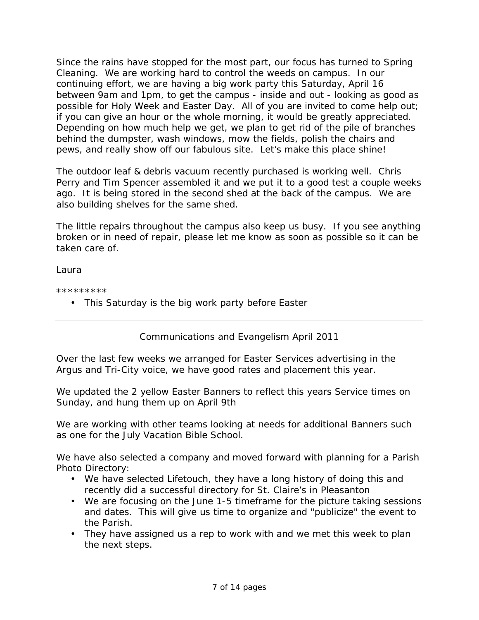Since the rains have stopped for the most part, our focus has turned to Spring Cleaning. We are working hard to control the weeds on campus. In our continuing effort, we are having a big work party this Saturday, April 16 between 9am and 1pm, to get the campus - inside and out - looking as good as possible for Holy Week and Easter Day. All of you are invited to come help out; if you can give an hour or the whole morning, it would be greatly appreciated. Depending on how much help we get, we plan to get rid of the pile of branches behind the dumpster, wash windows, mow the fields, polish the chairs and pews, and really show off our fabulous site. Let's make this place shine!

The outdoor leaf & debris vacuum recently purchased is working well. Chris Perry and Tim Spencer assembled it and we put it to a good test a couple weeks ago. It is being stored in the second shed at the back of the campus. We are also building shelves for the same shed.

The little repairs throughout the campus also keep us busy. If you see anything broken or in need of repair, please let me know as soon as possible so it can be taken care of.

Laura

\*\*\*\*\*\*\*\*\*

• This Saturday is the big work party before Easter

Communications and Evangelism April 2011

Over the last few weeks we arranged for Easter Services advertising in the Argus and Tri-City voice, we have good rates and placement this year.

We updated the 2 yellow Easter Banners to reflect this years Service times on Sunday, and hung them up on April 9th

We are working with other teams looking at needs for additional Banners such as one for the July Vacation Bible School.

We have also selected a company and moved forward with planning for a Parish Photo Directory:

- We have selected Lifetouch, they have a long history of doing this and recently did a successful directory for St. Claire's in Pleasanton
- We are focusing on the June 1-5 timeframe for the picture taking sessions and dates. This will give us time to organize and "publicize" the event to the Parish.
- They have assigned us a rep to work with and we met this week to plan the next steps.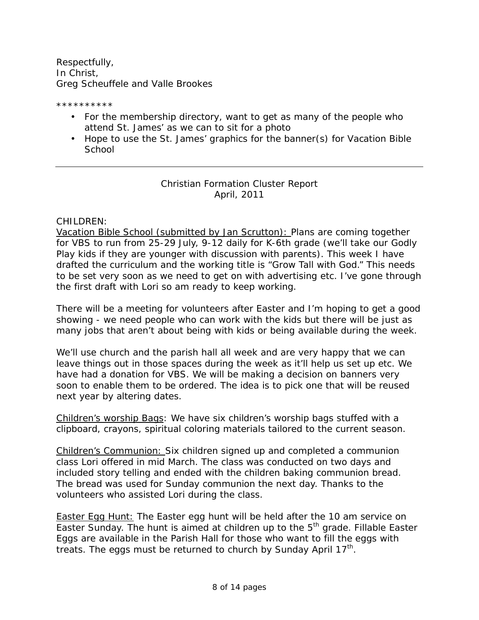Respectfully, In Christ, Greg Scheuffele and Valle Brookes

\*\*\*\*\*\*\*\*\*\*

- For the membership directory, want to get as many of the people who attend St. James' as we can to sit for a photo
- Hope to use the St. James' graphics for the banner(s) for Vacation Bible **School**

# Christian Formation Cluster Report April, 2011

### CHILDREN:

Vacation Bible School (submitted by Jan Scrutton): Plans are coming together for VBS to run from 25-29 July, 9-12 daily for K-6th grade (we'll take our Godly Play kids if they are younger with discussion with parents). This week I have drafted the curriculum and the working title is "Grow Tall with God." This needs to be set very soon as we need to get on with advertising etc. I've gone through the first draft with Lori so am ready to keep working.

There will be a meeting for volunteers after Easter and I'm hoping to get a good showing - we need people who can work with the kids but there will be just as many jobs that aren't about being with kids or being available during the week.

We'll use church and the parish hall all week and are very happy that we can leave things out in those spaces during the week as it'll help us set up etc. We have had a donation for VBS. We will be making a decision on banners very soon to enable them to be ordered. The idea is to pick one that will be reused next year by altering dates.

Children's worship Bags: We have six children's worship bags stuffed with a clipboard, crayons, spiritual coloring materials tailored to the current season.

Children's Communion: Six children signed up and completed a communion class Lori offered in mid March. The class was conducted on two days and included story telling and ended with the children baking communion bread. The bread was used for Sunday communion the next day. Thanks to the volunteers who assisted Lori during the class.

**Easter Egg Hunt: The Easter egg hunt will be held after the 10 am service on** Easter Sunday. The hunt is aimed at children up to the 5<sup>th</sup> grade. Fillable Easter Eggs are available in the Parish Hall for those who want to fill the eggs with treats. The eggs must be returned to church by Sunday April 17<sup>th</sup>.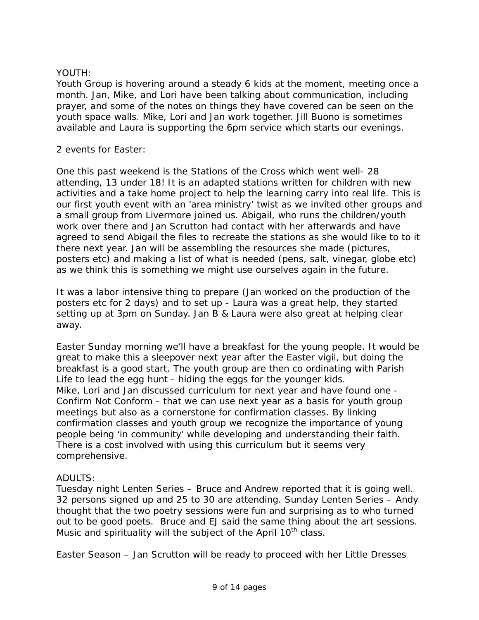## YOUTH:

Youth Group is hovering around a steady 6 kids at the moment, meeting once a month. Jan, Mike, and Lori have been talking about communication, including prayer, and some of the notes on things they have covered can be seen on the youth space walls. Mike, Lori and Jan work together. Jill Buono is sometimes available and Laura is supporting the 6pm service which starts our evenings.

#### 2 events for Easter:

One this past weekend is the Stations of the Cross which went well- 28 attending, 13 under 18! It is an adapted stations written for children with new activities and a take home project to help the learning carry into real life. This is our first youth event with an 'area ministry' twist as we invited other groups and a small group from Livermore joined us. Abigail, who runs the children/youth work over there and Jan Scrutton had contact with her afterwards and have agreed to send Abigail the files to recreate the stations as she would like to to it there next year. Jan will be assembling the resources she made (pictures, posters etc) and making a list of what is needed (pens, salt, vinegar, globe etc) as we think this is something we might use ourselves again in the future.

It was a labor intensive thing to prepare (Jan worked on the production of the posters etc for 2 days) and to set up - Laura was a great help, they started setting up at 3pm on Sunday. Jan B & Laura were also great at helping clear away.

Easter Sunday morning we'll have a breakfast for the young people. It would be great to make this a sleepover next year after the Easter vigil, but doing the breakfast is a good start. The youth group are then co ordinating with Parish Life to lead the egg hunt - hiding the eggs for the younger kids. Mike, Lori and Jan discussed curriculum for next year and have found one - *Confirm Not Conform* - that we can use next year as a basis for youth group meetings but also as a cornerstone for confirmation classes. By linking confirmation classes and youth group we recognize the importance of young people being 'in community' while developing and understanding their faith. There is a cost involved with using this curriculum but it seems very comprehensive.

# ADULTS:

Tuesday night Lenten Series – Bruce and Andrew reported that it is going well. 32 persons signed up and 25 to 30 are attending. Sunday Lenten Series – Andy thought that the two poetry sessions were fun and surprising as to who turned out to be good poets. Bruce and EJ said the same thing about the art sessions. Music and spirituality will the subject of the April 10<sup>th</sup> class.

Easter Season – Jan Scrutton will be ready to proceed with her Little Dresses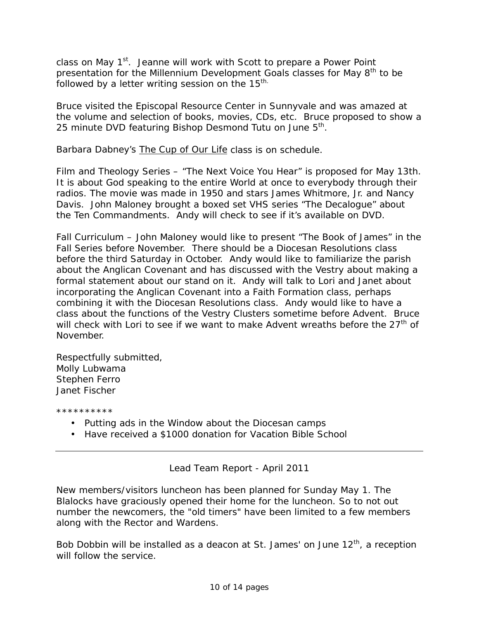class on May 1<sup>st</sup>. Jeanne will work with Scott to prepare a Power Point presentation for the Millennium Development Goals classes for May  $8<sup>th</sup>$  to be followed by a letter writing session on the  $15<sup>th</sup>$ .

Bruce visited the Episcopal Resource Center in Sunnyvale and was amazed at the volume and selection of books, movies, CDs, etc. Bruce proposed to show a 25 minute DVD featuring Bishop Desmond Tutu on June 5<sup>th</sup>.

Barbara Dabney's The Cup of Our Life class is on schedule.

Film and Theology Series – "The Next Voice You Hear" is proposed for May 13th. It is about God speaking to the entire World at once to everybody through their radios. The movie was made in 1950 and stars James Whitmore, Jr. and Nancy Davis. John Maloney brought a boxed set VHS series "The Decalogue" about the Ten Commandments. Andy will check to see if it's available on DVD.

Fall Curriculum – John Maloney would like to present "The Book of James" in the Fall Series before November. There should be a Diocesan Resolutions class before the third Saturday in October. Andy would like to familiarize the parish about the Anglican Covenant and has discussed with the Vestry about making a formal statement about our stand on it. Andy will talk to Lori and Janet about incorporating the Anglican Covenant into a Faith Formation class, perhaps combining it with the Diocesan Resolutions class. Andy would like to have a class about the functions of the Vestry Clusters sometime before Advent. Bruce will check with Lori to see if we want to make Advent wreaths before the  $27<sup>th</sup>$  of November.

Respectfully submitted, Molly Lubwama Stephen Ferro Janet Fischer

\*\*\*\*\*\*\*\*\*\*

- Putting ads in the Window about the Diocesan camps
- Have received a \$1000 donation for Vacation Bible School

Lead Team Report - April 2011

New members/visitors luncheon has been planned for Sunday May 1. The Blalocks have graciously opened their home for the luncheon. So to not out number the newcomers, the "old timers" have been limited to a few members along with the Rector and Wardens.

Bob Dobbin will be installed as a deacon at St. James' on June  $12<sup>th</sup>$ , a reception will follow the service.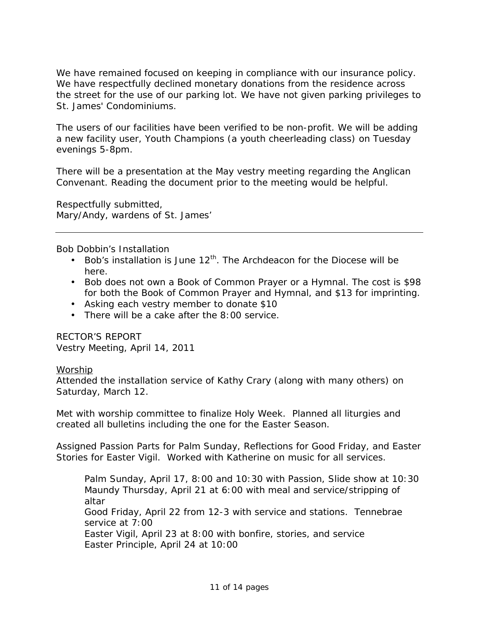We have remained focused on keeping in compliance with our insurance policy. We have respectfully declined monetary donations from the residence across the street for the use of our parking lot. We have not given parking privileges to St. James' Condominiums.

The users of our facilities have been verified to be non-profit. We will be adding a new facility user, Youth Champions (a youth cheerleading class) on Tuesday evenings 5-8pm.

There will be a presentation at the May vestry meeting regarding the Anglican Convenant. Reading the document prior to the meeting would be helpful.

Respectfully submitted, Mary/Andy, wardens of St. James'

Bob Dobbin's Installation

- Bob's installation is June  $12^{th}$ . The Archdeacon for the Diocese will be here.
- Bob does not own a Book of Common Prayer or a Hymnal. The cost is \$98 for both the Book of Common Prayer and Hymnal, and \$13 for imprinting.
- Asking each vestry member to donate \$10
- There will be a cake after the 8:00 service.

RECTOR'S REPORT Vestry Meeting, April 14, 2011

#### Worship

Attended the installation service of Kathy Crary (along with many others) on Saturday, March 12.

Met with worship committee to finalize Holy Week. Planned all liturgies and created all bulletins including the one for the Easter Season.

Assigned Passion Parts for Palm Sunday, Reflections for Good Friday, and Easter Stories for Easter Vigil. Worked with Katherine on music for all services.

Palm Sunday, April 17, 8:00 and 10:30 with Passion, Slide show at 10:30 Maundy Thursday, April 21 at 6:00 with meal and service/stripping of altar Good Friday, April 22 from 12-3 with service and stations. Tennebrae service at 7:00 Easter Vigil, April 23 at 8:00 with bonfire, stories, and service Easter Principle, April 24 at 10:00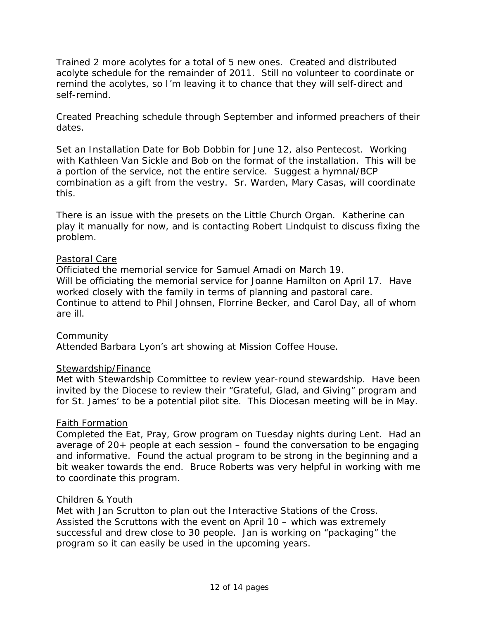Trained 2 more acolytes for a total of 5 new ones. Created and distributed acolyte schedule for the remainder of 2011. Still no volunteer to coordinate or remind the acolytes, so I'm leaving it to chance that they will self-direct and self-remind.

Created Preaching schedule through September and informed preachers of their dates.

Set an Installation Date for Bob Dobbin for June 12, also Pentecost. Working with Kathleen Van Sickle and Bob on the format of the installation. This will be a portion of the service, not the entire service. Suggest a hymnal/BCP combination as a gift from the vestry. Sr. Warden, Mary Casas, will coordinate this.

There is an issue with the presets on the Little Church Organ. Katherine can play it manually for now, and is contacting Robert Lindquist to discuss fixing the problem.

#### Pastoral Care

Officiated the memorial service for Samuel Amadi on March 19. Will be officiating the memorial service for Joanne Hamilton on April 17. Have worked closely with the family in terms of planning and pastoral care. Continue to attend to Phil Johnsen, Florrine Becker, and Carol Day, all of whom are ill.

# **Community**

Attended Barbara Lyon's art showing at Mission Coffee House.

#### Stewardship/Finance

Met with Stewardship Committee to review year-round stewardship. Have been invited by the Diocese to review their "Grateful, Glad, and Giving" program and for St. James' to be a potential pilot site. This Diocesan meeting will be in May.

#### Faith Formation

Completed the Eat, Pray, Grow program on Tuesday nights during Lent. Had an average of  $20+$  people at each session  $-$  found the conversation to be engaging and informative. Found the actual program to be strong in the beginning and a bit weaker towards the end. Bruce Roberts was very helpful in working with me to coordinate this program.

#### Children & Youth

Met with Jan Scrutton to plan out the Interactive Stations of the Cross. Assisted the Scruttons with the event on April 10 – which was extremely successful and drew close to 30 people. Jan is working on "packaging" the program so it can easily be used in the upcoming years.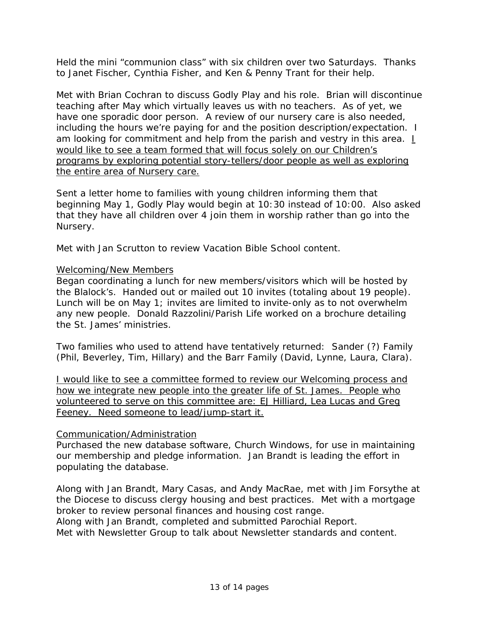Held the mini "communion class" with six children over two Saturdays. Thanks to Janet Fischer, Cynthia Fisher, and Ken & Penny Trant for their help.

Met with Brian Cochran to discuss Godly Play and his role. Brian will discontinue teaching after May which virtually leaves us with no teachers. As of yet, we have one sporadic door person. A review of our nursery care is also needed, including the hours we're paying for and the position description/expectation. I am looking for commitment and help from the parish and vestry in this area. *I would like to see a team formed that will focus solely on our Children's programs by exploring potential story-tellers/door people as well as exploring the entire area of Nursery care.*

Sent a letter home to families with young children informing them that beginning May 1, Godly Play would begin at 10:30 instead of 10:00. Also asked that they have all children over 4 join them in worship rather than go into the Nursery.

Met with Jan Scrutton to review Vacation Bible School content.

### Welcoming/New Members

Began coordinating a lunch for new members/visitors which will be hosted by the Blalock's. Handed out or mailed out 10 invites (totaling about 19 people). Lunch will be on May 1; invites are limited to invite-only as to not overwhelm any new people. Donald Razzolini/Parish Life worked on a brochure detailing the St. James' ministries.

Two families who used to attend have tentatively returned: Sander (?) Family (Phil, Beverley, Tim, Hillary) and the Barr Family (David, Lynne, Laura, Clara).

*I would like to see a committee formed to review our Welcoming process and how we integrate new people into the greater life of St. James. People who volunteered to serve on this committee are: EJ Hilliard, Lea Lucas and Greg Feeney. Need someone to lead/jump-start it.*

#### Communication/Administration

Purchased the new database software, Church Windows, for use in maintaining our membership and pledge information. Jan Brandt is leading the effort in populating the database.

Along with Jan Brandt, Mary Casas, and Andy MacRae, met with Jim Forsythe at the Diocese to discuss clergy housing and best practices. Met with a mortgage broker to review personal finances and housing cost range.

Along with Jan Brandt, completed and submitted Parochial Report.

Met with Newsletter Group to talk about Newsletter standards and content.